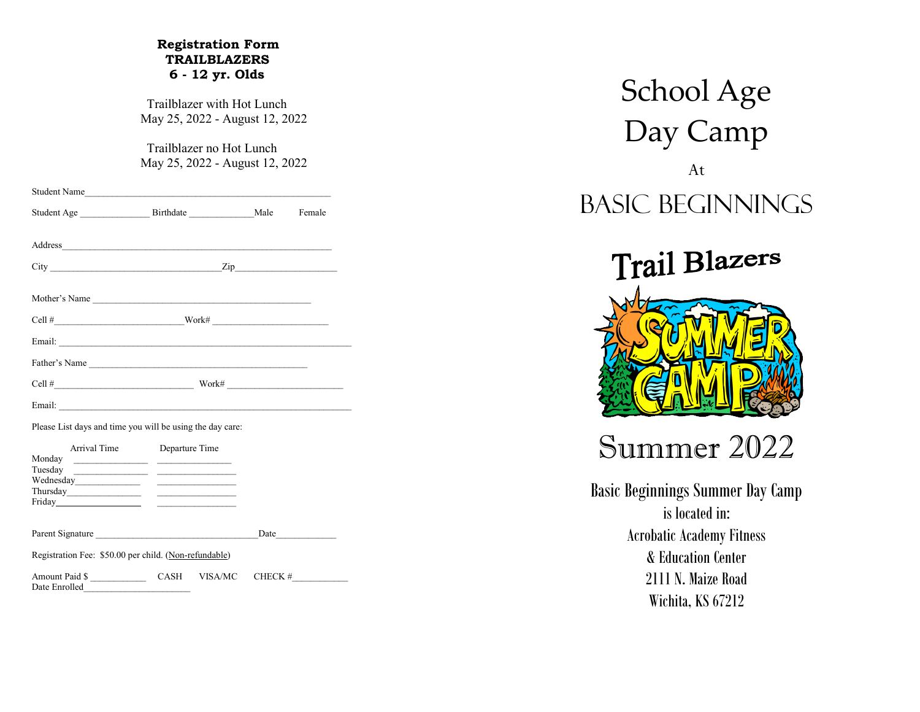#### **Registration Form TRAILBLAZERS 6 - 12 yr. Olds**

 Trailblazer with Hot Lunch May 25, 2022 - August 12, 2022

 Trailblazer no Hot Lunch May 25, 2022 - August 12, 2022

|                                                           |                             |                                         | Female |
|-----------------------------------------------------------|-----------------------------|-----------------------------------------|--------|
|                                                           |                             |                                         |        |
|                                                           |                             |                                         |        |
| $City$ $Zip$                                              |                             |                                         |        |
|                                                           |                             |                                         |        |
|                                                           |                             |                                         |        |
|                                                           |                             |                                         |        |
|                                                           |                             |                                         |        |
| Father's Name                                             |                             |                                         |        |
|                                                           |                             | $\text{Work#}\xspace = \xspace{+2.5mm}$ |        |
|                                                           |                             |                                         |        |
| Please List days and time you will be using the day care: |                             |                                         |        |
|                                                           | Arrival Time Departure Time |                                         |        |
|                                                           |                             |                                         |        |
|                                                           |                             |                                         |        |
|                                                           |                             |                                         |        |
| Thus day                                                  |                             |                                         |        |
|                                                           |                             |                                         |        |
|                                                           |                             |                                         | Date   |

Amount Paid \$ \_\_\_\_\_\_\_\_\_\_\_\_\_\_\_ CASH VISA/MC CHECK # Date Enrolled

School Age Day Camp At Basic Beginnings



# Summer 2022

Basic Beginnings Summer Day Camp is located in: Acrobatic Academy Fitness & Education Center 2111 N. Maize Road Wichita, KS 67212